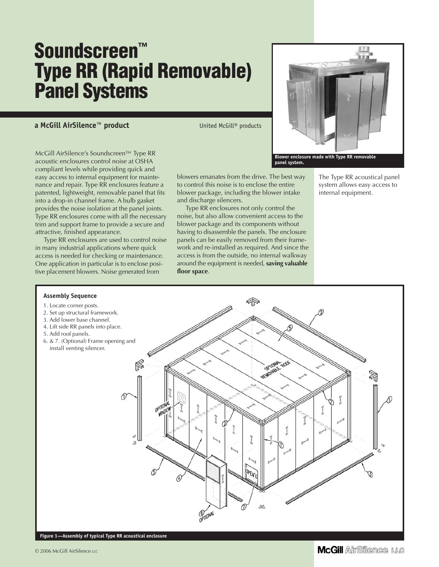# **Soundscreen™ Type RR (Rapid Removable) Panel Systems**

#### **a McGill AirSilence™ product** United McGill® products

and discharge silencers.

**floor space**.

blowers emanates from the drive. The best way to control this noise is to enclose the entire blower package, including the blower intake

Type RR enclosures not only control the noise, but also allow convenient access to the blower package and its components without having to disassemble the panels. The enclosure panels can be easily removed from their framework and re-installed as required. And since the access is from the outside, no internal walkway around the equipment is needed, **saving valuable**

McGill AirSilence's Soundscreen™ Type RR acoustic enclosures control noise at OSHA compliant levels while providing quick and easy access to internal equipment for maintenance and repair. Type RR enclosures feature a patented, lightweight, removable panel that fits into a drop-in channel frame. A bulb gasket provides the noise isolation at the panel joints. Type RR enclosures come with all the necessary trim and support frame to provide a secure and attractive, finished appearance.

Type RR enclosures are used to control noise in many industrial applications where quick access is needed for checking or maintenance. One application in particular is to enclose positive placement blowers. Noise generated from



The Type RR acoustical panel system allows easy access to internal equipment.



**Figure 1—Assembly of typical Type RR acoustical enclosure**